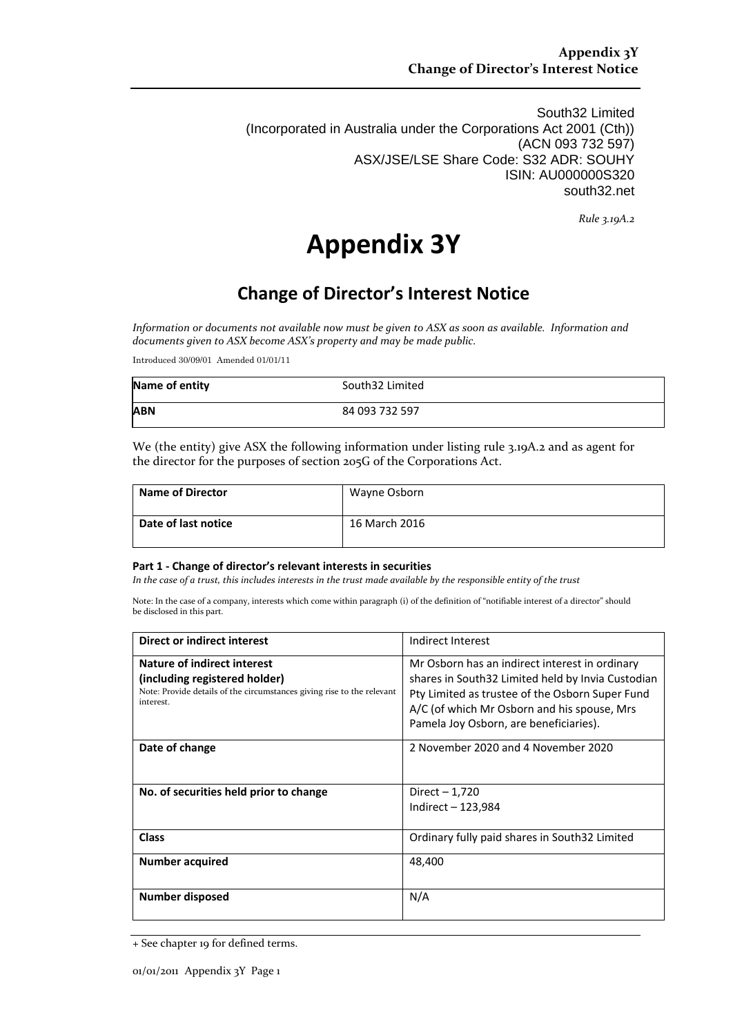South32 Limited (Incorporated in Australia under the Corporations Act 2001 (Cth)) (ACN 093 732 597) ASX/JSE/LSE Share Code: S32 ADR: SOUHY ISIN: AU000000S320 south32.net

*Rule 3.19A.2*

# **Appendix 3Y**

## **Change of Director's Interest Notice**

*Information or documents not available now must be given to ASX as soon as available. Information and documents given to ASX become ASX's property and may be made public.*

Introduced 30/09/01 Amended 01/01/11

| Name of entity | South32 Limited |
|----------------|-----------------|
| <b>ABN</b>     | 84 093 732 597  |

We (the entity) give ASX the following information under listing rule 3.19A.2 and as agent for the director for the purposes of section 205G of the Corporations Act.

| <b>Name of Director</b> | Wayne Osborn  |
|-------------------------|---------------|
| Date of last notice     | 16 March 2016 |

#### **Part 1 - Change of director's relevant interests in securities**

*In the case of a trust, this includes interests in the trust made available by the responsible entity of the trust*

Note: In the case of a company, interests which come within paragraph (i) of the definition of "notifiable interest of a director" should be disclosed in this part.

| Direct or indirect interest                                                                                                                         | Indirect Interest                                                                                                                                                                                                                               |
|-----------------------------------------------------------------------------------------------------------------------------------------------------|-------------------------------------------------------------------------------------------------------------------------------------------------------------------------------------------------------------------------------------------------|
| Nature of indirect interest<br>(including registered holder)<br>Note: Provide details of the circumstances giving rise to the relevant<br>interest. | Mr Osborn has an indirect interest in ordinary<br>shares in South32 Limited held by Invia Custodian<br>Pty Limited as trustee of the Osborn Super Fund<br>A/C (of which Mr Osborn and his spouse, Mrs<br>Pamela Joy Osborn, are beneficiaries). |
| Date of change                                                                                                                                      | 2 November 2020 and 4 November 2020                                                                                                                                                                                                             |
| No. of securities held prior to change                                                                                                              | Direct $-1,720$<br>Indirect $-123,984$                                                                                                                                                                                                          |
| <b>Class</b>                                                                                                                                        | Ordinary fully paid shares in South32 Limited                                                                                                                                                                                                   |
| Number acquired                                                                                                                                     | 48,400                                                                                                                                                                                                                                          |
| <b>Number disposed</b>                                                                                                                              | N/A                                                                                                                                                                                                                                             |

<sup>+</sup> See chapter 19 for defined terms.